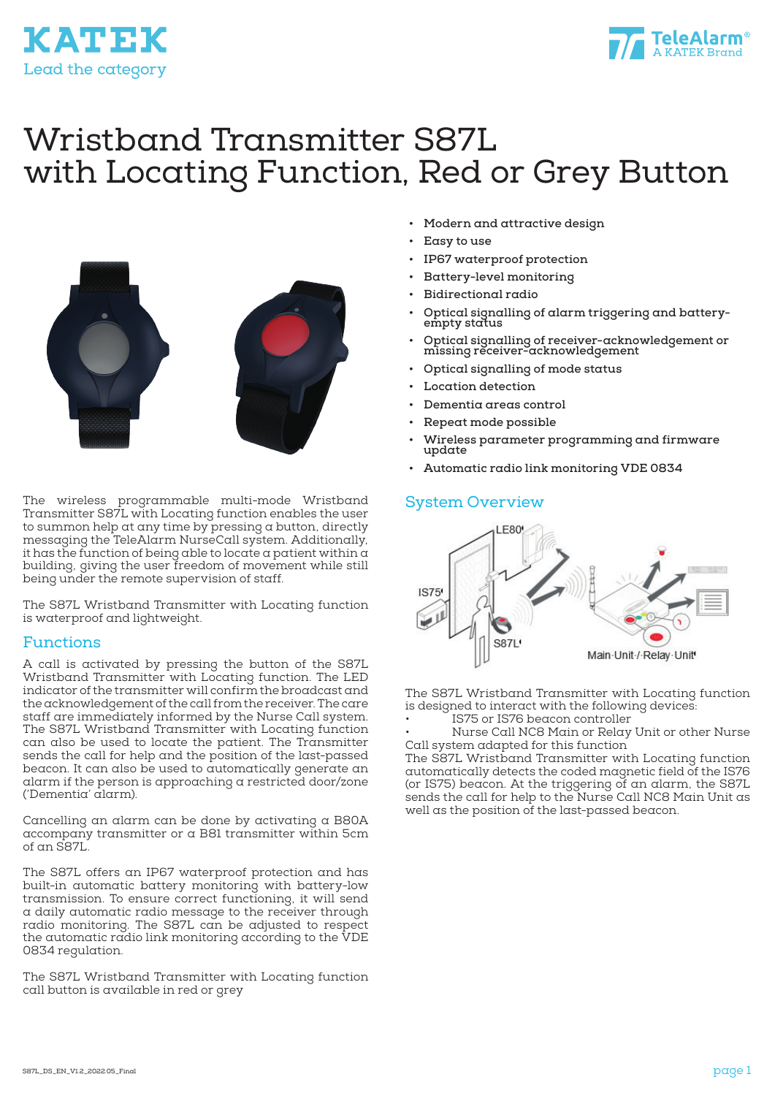



# Wristband Transmitter S87L with Locating Function, Red or Grey Button



The wireless programmable multi-mode Wristband Transmitter S87L with Locating function enables the user to summon help at any time by pressing a button, directly messaging the TeleAlarm NurseCall system. Additionally, it has the function of being able to locate a patient within a building, giving the user freedom of movement while still being under the remote supervision of staff.

The S87L Wristband Transmitter with Locating function is waterproof and lightweight.

#### Functions

A call is activated by pressing the button of the S87L Wristband Transmitter with Locating function. The LED indicator of the transmitter will confirm the broadcast and the acknowledgement of the call from the receiver. The care staff are immediately informed by the Nurse Call system. The S87L Wristband Transmitter with Locating function can also be used to locate the patient. The Transmitter sends the call for help and the position of the last-passed beacon. It can also be used to automatically generate an alarm if the person is approaching a restricted door/zone ('Dementia' alarm).

Cancelling an alarm can be done by activating a B80A accompany transmitter or a B81 transmitter within 5cm of an S87L.

The S87L offers an IP67 waterproof protection and has built-in automatic battery monitoring with battery-low transmission. To ensure correct functioning, it will send a daily automatic radio message to the receiver through radio monitoring. The S87L can be adjusted to respect the automatic radio link monitoring according to the VDE 0834 regulation.

The S87L Wristband Transmitter with Locating function call button is available in red or grey

- **• Modern and attractive design**
- **• Easy to use**
- **• IP67 waterproof protection**
- **• Battery-level monitoring**
- **• Bidirectional radio**
- **• Optical signalling of alarm triggering and batteryempty status**
- **• Optical signalling of receiver-acknowledgement or missing receiver-acknowledgement**
- **• Optical signalling of mode status**
- **• Location detection**
- **• Dementia areas control**
- **• Repeat mode possible**
- **• Wireless parameter programming and firmware update**
- **• Automatic radio link monitoring VDE 0834**

#### System Overview



The S87L Wristband Transmitter with Locating function is designed to interact with the following devices:

IS75 or IS76 beacon controller

• Nurse Call NC8 Main or Relay Unit or other Nurse Call system adapted for this function

The S87L Wristband Transmitter with Locating function automatically detects the coded magnetic field of the IS76 (or IS75) beacon. At the triggering of an alarm, the S87L sends the call for help to the Nurse Call NC8 Main Unit as well as the position of the last-passed beacon.